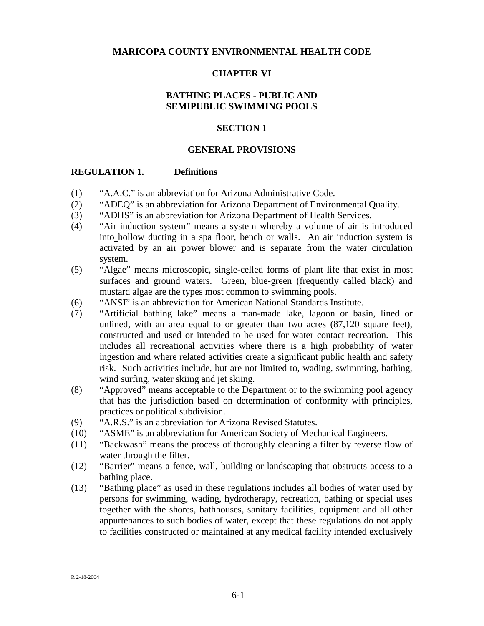## **MARICOPA COUNTY ENVIRONMENTAL HEALTH CODE**

### **CHAPTER VI**

## **BATHING PLACES - PUBLIC AND SEMIPUBLIC SWIMMING POOLS**

#### **SECTION 1**

### **GENERAL PROVISIONS**

#### **REGULATION 1. Definitions**

- (1) "A.A.C." is an abbreviation for Arizona Administrative Code.
- (2) "ADEQ" is an abbreviation for Arizona Department of Environmental Quality.
- (3) "ADHS" is an abbreviation for Arizona Department of Health Services.
- (4) "Air induction system" means a system whereby a volume of air is introduced into hollow ducting in a spa floor, bench or walls. An air induction system is activated by an air power blower and is separate from the water circulation system.
- (5) "Algae" means microscopic, single-celled forms of plant life that exist in most surfaces and ground waters. Green, blue-green (frequently called black) and mustard algae are the types most common to swimming pools.
- (6) "ANSI" is an abbreviation for American National Standards Institute.
- (7) "Artificial bathing lake" means a man-made lake, lagoon or basin, lined or unlined, with an area equal to or greater than two acres (87,120 square feet), constructed and used or intended to be used for water contact recreation. This includes all recreational activities where there is a high probability of water ingestion and where related activities create a significant public health and safety risk. Such activities include, but are not limited to, wading, swimming, bathing, wind surfing, water skiing and jet skiing.
- (8) "Approved" means acceptable to the Department or to the swimming pool agency that has the jurisdiction based on determination of conformity with principles, practices or political subdivision.
- (9) "A.R.S." is an abbreviation for Arizona Revised Statutes.
- (10) "ASME" is an abbreviation for American Society of Mechanical Engineers.
- (11) "Backwash" means the process of thoroughly cleaning a filter by reverse flow of water through the filter.
- (12) "Barrier" means a fence, wall, building or landscaping that obstructs access to a bathing place.
- (13) "Bathing place" as used in these regulations includes all bodies of water used by persons for swimming, wading, hydrotherapy, recreation, bathing or special uses together with the shores, bathhouses, sanitary facilities, equipment and all other appurtenances to such bodies of water, except that these regulations do not apply to facilities constructed or maintained at any medical facility intended exclusively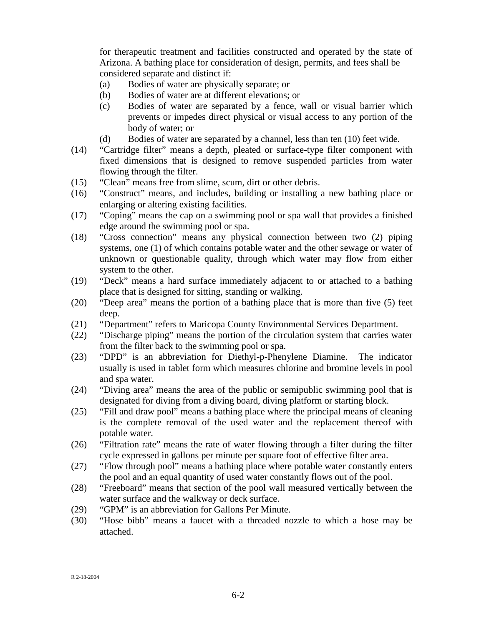for therapeutic treatment and facilities constructed and operated by the state of Arizona. A bathing place for consideration of design, permits, and fees shall be considered separate and distinct if:

- (a) Bodies of water are physically separate; or
- (b) Bodies of water are at different elevations; or
- (c) Bodies of water are separated by a fence, wall or visual barrier which prevents or impedes direct physical or visual access to any portion of the body of water; or
- (d) Bodies of water are separated by a channel, less than ten (10) feet wide.
- (14) "Cartridge filter" means a depth, pleated or surface-type filter component with fixed dimensions that is designed to remove suspended particles from water flowing through the filter.
- (15) "Clean" means free from slime, scum, dirt or other debris.
- (16) "Construct" means, and includes, building or installing a new bathing place or enlarging or altering existing facilities.
- (17) "Coping" means the cap on a swimming pool or spa wall that provides a finished edge around the swimming pool or spa.
- (18) "Cross connection" means any physical connection between two (2) piping systems, one (1) of which contains potable water and the other sewage or water of unknown or questionable quality, through which water may flow from either system to the other.
- (19) "Deck" means a hard surface immediately adjacent to or attached to a bathing place that is designed for sitting, standing or walking.
- (20) "Deep area" means the portion of a bathing place that is more than five (5) feet deep.
- (21) "Department" refers to Maricopa County Environmental Services Department.
- (22) "Discharge piping" means the portion of the circulation system that carries water from the filter back to the swimming pool or spa.
- (23) "DPD" is an abbreviation for Diethyl-p-Phenylene Diamine. The indicator usually is used in tablet form which measures chlorine and bromine levels in pool and spa water.
- (24) "Diving area" means the area of the public or semipublic swimming pool that is designated for diving from a diving board, diving platform or starting block.
- (25) "Fill and draw pool" means a bathing place where the principal means of cleaning is the complete removal of the used water and the replacement thereof with potable water.
- (26) "Filtration rate" means the rate of water flowing through a filter during the filter cycle expressed in gallons per minute per square foot of effective filter area.
- (27) "Flow through pool" means a bathing place where potable water constantly enters the pool and an equal quantity of used water constantly flows out of the pool.
- (28) "Freeboard" means that section of the pool wall measured vertically between the water surface and the walkway or deck surface.
- (29) "GPM" is an abbreviation for Gallons Per Minute.
- (30) "Hose bibb" means a faucet with a threaded nozzle to which a hose may be attached.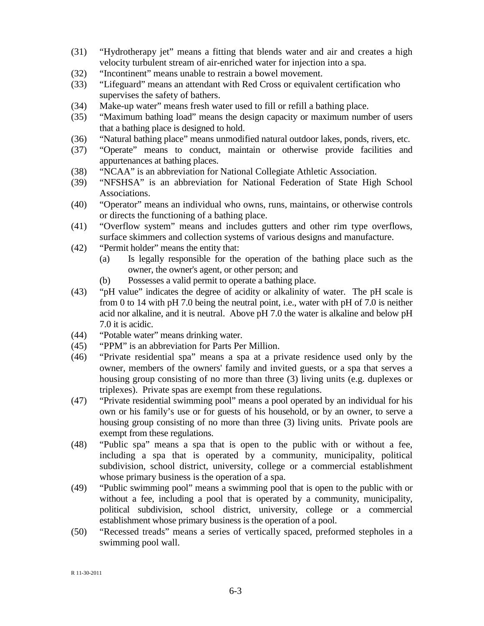- (31) "Hydrotherapy jet" means a fitting that blends water and air and creates a high velocity turbulent stream of air-enriched water for injection into a spa.
- (32) "Incontinent" means unable to restrain a bowel movement.
- (33) "Lifeguard" means an attendant with Red Cross or equivalent certification who supervises the safety of bathers.
- (34) Make-up water" means fresh water used to fill or refill a bathing place.
- (35) "Maximum bathing load" means the design capacity or maximum number of users that a bathing place is designed to hold.
- (36) "Natural bathing place" means unmodified natural outdoor lakes, ponds, rivers, etc.
- (37) "Operate" means to conduct, maintain or otherwise provide facilities and appurtenances at bathing places.
- (38) "NCAA" is an abbreviation for National Collegiate Athletic Association.
- (39) "NFSHSA" is an abbreviation for National Federation of State High School Associations.
- (40) "Operator" means an individual who owns, runs, maintains, or otherwise controls or directs the functioning of a bathing place.
- (41) "Overflow system" means and includes gutters and other rim type overflows, surface skimmers and collection systems of various designs and manufacture.
- (42) "Permit holder" means the entity that:
	- (a) Is legally responsible for the operation of the bathing place such as the owner, the owner's agent, or other person; and
	- (b) Possesses a valid permit to operate a bathing place.
- (43) "pH value" indicates the degree of acidity or alkalinity of water. The pH scale is from 0 to 14 with pH 7.0 being the neutral point, i.e., water with pH of 7.0 is neither acid nor alkaline, and it is neutral. Above pH 7.0 the water is alkaline and below pH 7.0 it is acidic.
- (44) "Potable water" means drinking water.
- (45) "PPM" is an abbreviation for Parts Per Million.
- (46) "Private residential spa" means a spa at a private residence used only by the owner, members of the owners' family and invited guests, or a spa that serves a housing group consisting of no more than three (3) living units (e.g. duplexes or triplexes). Private spas are exempt from these regulations.
- (47) "Private residential swimming pool" means a pool operated by an individual for his own or his family's use or for guests of his household, or by an owner, to serve a housing group consisting of no more than three (3) living units. Private pools are exempt from these regulations.
- (48) "Public spa" means a spa that is open to the public with or without a fee, including a spa that is operated by a community, municipality, political subdivision, school district, university, college or a commercial establishment whose primary business is the operation of a spa.
- (49) "Public swimming pool" means a swimming pool that is open to the public with or without a fee, including a pool that is operated by a community, municipality, political subdivision, school district, university, college or a commercial establishment whose primary business is the operation of a pool.
- (50) "Recessed treads" means a series of vertically spaced, preformed stepholes in a swimming pool wall.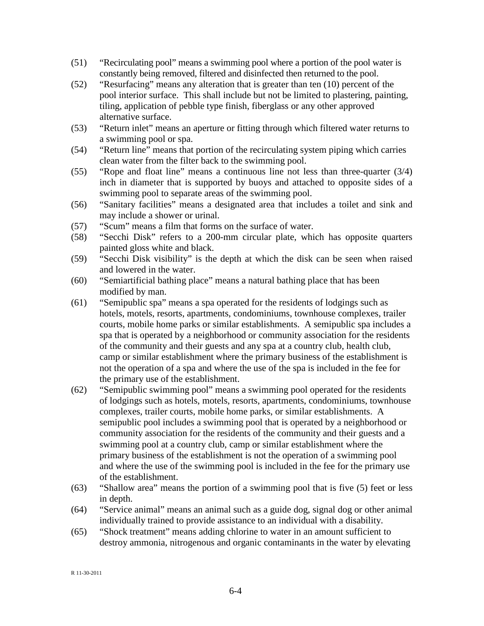- (51) "Recirculating pool" means a swimming pool where a portion of the pool water is constantly being removed, filtered and disinfected then returned to the pool.
- (52) "Resurfacing" means any alteration that is greater than ten (10) percent of the pool interior surface. This shall include but not be limited to plastering, painting, tiling, application of pebble type finish, fiberglass or any other approved alternative surface.
- (53) "Return inlet" means an aperture or fitting through which filtered water returns to a swimming pool or spa.
- (54) "Return line" means that portion of the recirculating system piping which carries clean water from the filter back to the swimming pool.
- (55) "Rope and float line" means a continuous line not less than three-quarter (3/4) inch in diameter that is supported by buoys and attached to opposite sides of a swimming pool to separate areas of the swimming pool.
- (56) "Sanitary facilities" means a designated area that includes a toilet and sink and may include a shower or urinal.
- (57) "Scum" means a film that forms on the surface of water.
- (58) "Secchi Disk" refers to a 200-mm circular plate, which has opposite quarters painted gloss white and black.
- (59) "Secchi Disk visibility" is the depth at which the disk can be seen when raised and lowered in the water.
- (60) "Semiartificial bathing place" means a natural bathing place that has been modified by man.
- (61) "Semipublic spa" means a spa operated for the residents of lodgings such as hotels, motels, resorts, apartments, condominiums, townhouse complexes, trailer courts, mobile home parks or similar establishments. A semipublic spa includes a spa that is operated by a neighborhood or community association for the residents of the community and their guests and any spa at a country club, health club, camp or similar establishment where the primary business of the establishment is not the operation of a spa and where the use of the spa is included in the fee for the primary use of the establishment.
- (62) "Semipublic swimming pool" means a swimming pool operated for the residents of lodgings such as hotels, motels, resorts, apartments, condominiums, townhouse complexes, trailer courts, mobile home parks, or similar establishments. A semipublic pool includes a swimming pool that is operated by a neighborhood or community association for the residents of the community and their guests and a swimming pool at a country club, camp or similar establishment where the primary business of the establishment is not the operation of a swimming pool and where the use of the swimming pool is included in the fee for the primary use of the establishment.
- (63) "Shallow area" means the portion of a swimming pool that is five (5) feet or less in depth.
- (64) "Service animal" means an animal such as a guide dog, signal dog or other animal individually trained to provide assistance to an individual with a disability.
- (65) "Shock treatment" means adding chlorine to water in an amount sufficient to destroy ammonia, nitrogenous and organic contaminants in the water by elevating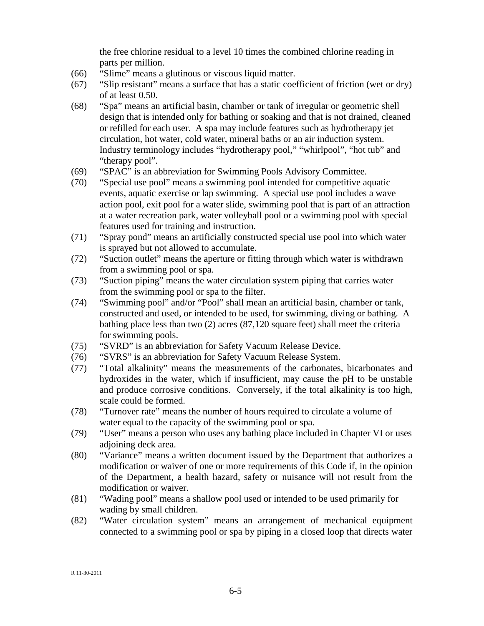the free chlorine residual to a level 10 times the combined chlorine reading in parts per million.

- (66) "Slime" means a glutinous or viscous liquid matter.
- (67) "Slip resistant" means a surface that has a static coefficient of friction (wet or dry) of at least 0.50.
- (68) "Spa" means an artificial basin, chamber or tank of irregular or geometric shell design that is intended only for bathing or soaking and that is not drained, cleaned or refilled for each user. A spa may include features such as hydrotherapy jet circulation, hot water, cold water, mineral baths or an air induction system. Industry terminology includes "hydrotherapy pool," "whirlpool", "hot tub" and "therapy pool".
- (69) "SPAC" is an abbreviation for Swimming Pools Advisory Committee.
- (70) "Special use pool" means a swimming pool intended for competitive aquatic events, aquatic exercise or lap swimming. A special use pool includes a wave action pool, exit pool for a water slide, swimming pool that is part of an attraction at a water recreation park, water volleyball pool or a swimming pool with special features used for training and instruction.
- (71) "Spray pond" means an artificially constructed special use pool into which water is sprayed but not allowed to accumulate.
- (72) "Suction outlet" means the aperture or fitting through which water is withdrawn from a swimming pool or spa.
- (73) "Suction piping" means the water circulation system piping that carries water from the swimming pool or spa to the filter.
- (74) "Swimming pool" and/or "Pool" shall mean an artificial basin, chamber or tank, constructed and used, or intended to be used, for swimming, diving or bathing. A bathing place less than two (2) acres (87,120 square feet) shall meet the criteria for swimming pools.
- (75) "SVRD" is an abbreviation for Safety Vacuum Release Device.
- (76) "SVRS" is an abbreviation for Safety Vacuum Release System.
- (77) "Total alkalinity" means the measurements of the carbonates, bicarbonates and hydroxides in the water, which if insufficient, may cause the pH to be unstable and produce corrosive conditions. Conversely, if the total alkalinity is too high, scale could be formed.
- (78) "Turnover rate" means the number of hours required to circulate a volume of water equal to the capacity of the swimming pool or spa.
- (79) "User" means a person who uses any bathing place included in Chapter VI or uses adjoining deck area.
- (80) "Variance" means a written document issued by the Department that authorizes a modification or waiver of one or more requirements of this Code if, in the opinion of the Department, a health hazard, safety or nuisance will not result from the modification or waiver.
- (81) "Wading pool" means a shallow pool used or intended to be used primarily for wading by small children.
- (82) "Water circulation system" means an arrangement of mechanical equipment connected to a swimming pool or spa by piping in a closed loop that directs water

R 11-30-2011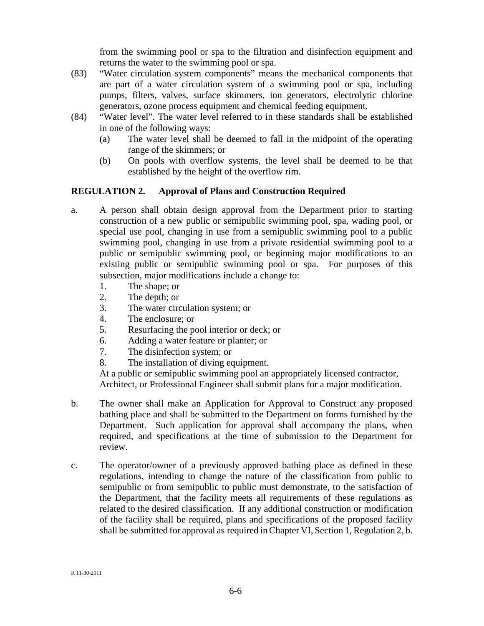from the swimming pool or spa to the filtration and disinfection equipment and returns the water to the swimming pool or spa.

- (83) "Water circulation system components" means the mechanical components that are part of a water circulation system of a swimming pool or spa, including pumps, filters, valves, surface skimmers, ion generators, electrolytic chlorine generators, ozone process equipment and chemical feeding equipment.
- (84) "Water level". The water level referred to in these standards shall be established in one of the following ways:
	- (a) The water level shall be deemed to fall in the midpoint of the operating range of the skimmers; or
	- (b) On pools with overflow systems, the level shall be deemed to be that established by the height of the overflow rim.

# **REGULATION 2. Approval of Plans and Construction Required**

- a. A person shall obtain design approval from the Department prior to starting construction of a new public or semipublic swimming pool, spa, wading pool, or special use pool, changing in use from a semipublic swimming pool to a public swimming pool, changing in use from a private residential swimming pool to a public or semipublic swimming pool, or beginning major modifications to an existing public or semipublic swimming pool or spa. For purposes of this subsection, major modifications include a change to:
	- 1. The shape; or
	- 2. The depth; or
	- 3. The water circulation system; or
	- 4. The enclosure; or
	- 5. Resurfacing the pool interior or deck; or
	- 6. Adding a water feature or planter; or
	- 7. The disinfection system; or
	- 8. The installation of diving equipment.

At a public or semipublic swimming pool an appropriately licensed contractor, Architect, or Professional Engineer shall submit plans for a major modification.

- b. The owner shall make an Application for Approval to Construct any proposed bathing place and shall be submitted to the Department on forms furnished by the Department. Such application for approval shall accompany the plans, when required, and specifications at the time of submission to the Department for review.
- c. The operator/owner of a previously approved bathing place as defined in these regulations, intending to change the nature of the classification from public to semipublic or from semipublic to public must demonstrate, to the satisfaction of the Department, that the facility meets all requirements of these regulations as related to the desired classification. If any additional construction or modification of the facility shall be required, plans and specifications of the proposed facility shall be submitted for approval as required in Chapter VI, Section 1, Regulation 2, b.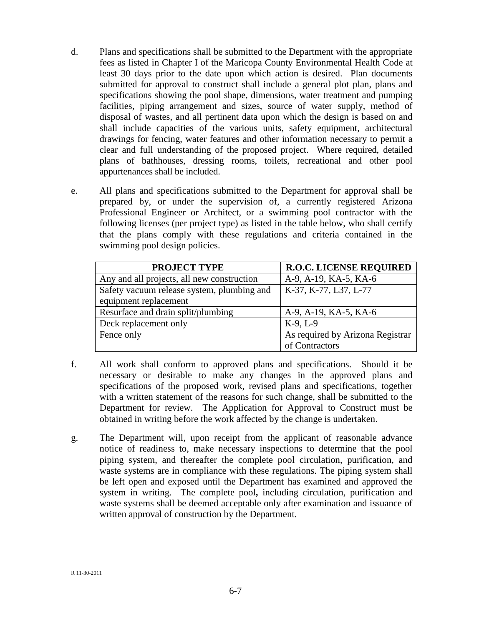- d. Plans and specifications shall be submitted to the Department with the appropriate fees as listed in Chapter I of the Maricopa County Environmental Health Code at least 30 days prior to the date upon which action is desired. Plan documents submitted for approval to construct shall include a general plot plan, plans and specifications showing the pool shape, dimensions, water treatment and pumping facilities, piping arrangement and sizes, source of water supply, method of disposal of wastes, and all pertinent data upon which the design is based on and shall include capacities of the various units, safety equipment, architectural drawings for fencing, water features and other information necessary to permit a clear and full understanding of the proposed project. Where required, detailed plans of bathhouses, dressing rooms, toilets, recreational and other pool appurtenances shall be included.
- e. All plans and specifications submitted to the Department for approval shall be prepared by, or under the supervision of, a currently registered Arizona Professional Engineer or Architect, or a swimming pool contractor with the following licenses (per project type) as listed in the table below, who shall certify that the plans comply with these regulations and criteria contained in the swimming pool design policies.

| <b>PROJECT TYPE</b>                        | <b>R.O.C. LICENSE REQUIRED</b>   |
|--------------------------------------------|----------------------------------|
| Any and all projects, all new construction | A-9, A-19, KA-5, KA-6            |
| Safety vacuum release system, plumbing and | K-37, K-77, L37, L-77            |
| equipment replacement                      |                                  |
| Resurface and drain split/plumbing         | A-9, A-19, KA-5, KA-6            |
| Deck replacement only                      | $K-9, L-9$                       |
| Fence only                                 | As required by Arizona Registrar |
|                                            | of Contractors                   |

- f. All work shall conform to approved plans and specifications. Should it be necessary or desirable to make any changes in the approved plans and specifications of the proposed work, revised plans and specifications, together with a written statement of the reasons for such change, shall be submitted to the Department for review. The Application for Approval to Construct must be obtained in writing before the work affected by the change is undertaken.
- g. The Department will, upon receipt from the applicant of reasonable advance notice of readiness to, make necessary inspections to determine that the pool piping system, and thereafter the complete pool circulation, purification, and waste systems are in compliance with these regulations. The piping system shall be left open and exposed until the Department has examined and approved the system in writing. The complete pool**,** including circulation, purification and waste systems shall be deemed acceptable only after examination and issuance of written approval of construction by the Department.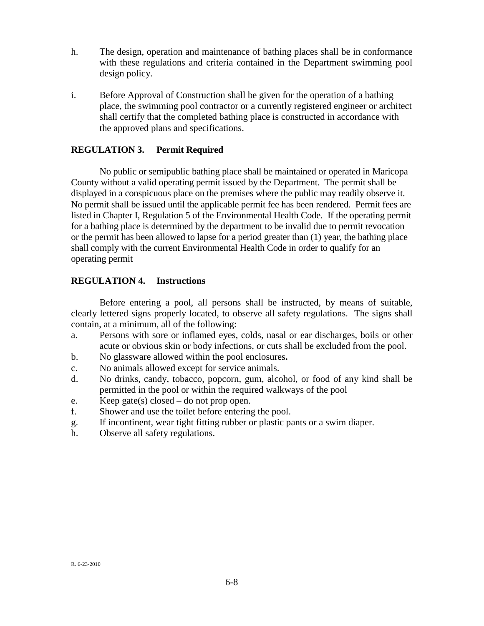- h. The design, operation and maintenance of bathing places shall be in conformance with these regulations and criteria contained in the Department swimming pool design policy.
- i. Before Approval of Construction shall be given for the operation of a bathing place, the swimming pool contractor or a currently registered engineer or architect shall certify that the completed bathing place is constructed in accordance with the approved plans and specifications.

# **REGULATION 3. Permit Required**

No public or semipublic bathing place shall be maintained or operated in Maricopa County without a valid operating permit issued by the Department. The permit shall be displayed in a conspicuous place on the premises where the public may readily observe it. No permit shall be issued until the applicable permit fee has been rendered. Permit fees are listed in Chapter I, Regulation 5 of the Environmental Health Code. If the operating permit for a bathing place is determined by the department to be invalid due to permit revocation or the permit has been allowed to lapse for a period greater than (1) year, the bathing place shall comply with the current Environmental Health Code in order to qualify for an operating permit

## **REGULATION 4. Instructions**

Before entering a pool, all persons shall be instructed, by means of suitable, clearly lettered signs properly located, to observe all safety regulations. The signs shall contain, at a minimum, all of the following:

- a. Persons with sore or inflamed eyes, colds, nasal or ear discharges, boils or other acute or obvious skin or body infections, or cuts shall be excluded from the pool.
- b. No glassware allowed within the pool enclosures**.**
- c. No animals allowed except for service animals.
- d. No drinks, candy, tobacco, popcorn, gum, alcohol, or food of any kind shall be permitted in the pool or within the required walkways of the pool
- e. Keep gate(s) closed do not prop open.
- f. Shower and use the toilet before entering the pool.
- g. If incontinent, wear tight fitting rubber or plastic pants or a swim diaper.
- h. Observe all safety regulations.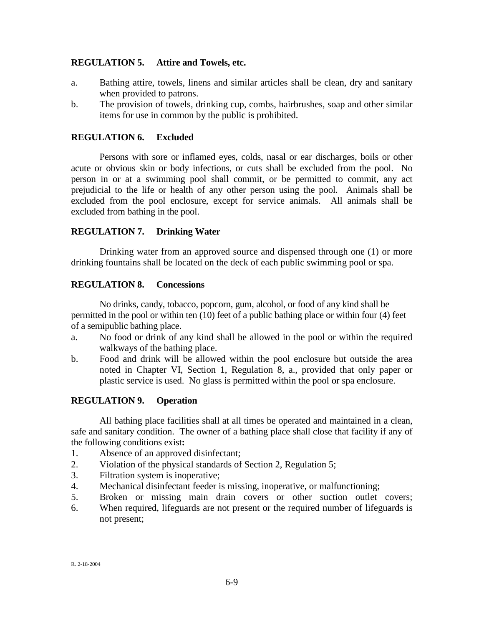## **REGULATION 5. Attire and Towels, etc.**

- a. Bathing attire, towels, linens and similar articles shall be clean, dry and sanitary when provided to patrons.
- b. The provision of towels, drinking cup, combs, hairbrushes, soap and other similar items for use in common by the public is prohibited.

## **REGULATION 6. Excluded**

Persons with sore or inflamed eyes, colds, nasal or ear discharges, boils or other acute or obvious skin or body infections, or cuts shall be excluded from the pool. No person in or at a swimming pool shall commit, or be permitted to commit, any act prejudicial to the life or health of any other person using the pool. Animals shall be excluded from the pool enclosure, except for service animals. All animals shall be excluded from bathing in the pool.

## **REGULATION 7. Drinking Water**

Drinking water from an approved source and dispensed through one (1) or more drinking fountains shall be located on the deck of each public swimming pool or spa.

### **REGULATION 8. Concessions**

No drinks, candy, tobacco, popcorn, gum, alcohol, or food of any kind shall be permitted in the pool or within ten (10) feet of a public bathing place or within four (4) feet of a semipublic bathing place.

- a. No food or drink of any kind shall be allowed in the pool or within the required walkways of the bathing place.
- b. Food and drink will be allowed within the pool enclosure but outside the area noted in Chapter VI, Section 1, Regulation 8, a., provided that only paper or plastic service is used. No glass is permitted within the pool or spa enclosure.

### **REGULATION 9. Operation**

All bathing place facilities shall at all times be operated and maintained in a clean, safe and sanitary condition. The owner of a bathing place shall close that facility if any of the following conditions exist**:**

- 1. Absence of an approved disinfectant;
- 2. Violation of the physical standards of Section 2, Regulation 5;
- 3. Filtration system is inoperative;
- 4. Mechanical disinfectant feeder is missing, inoperative, or malfunctioning;
- 5. Broken or missing main drain covers or other suction outlet covers;
- 6. When required, lifeguards are not present or the required number of lifeguards is not present;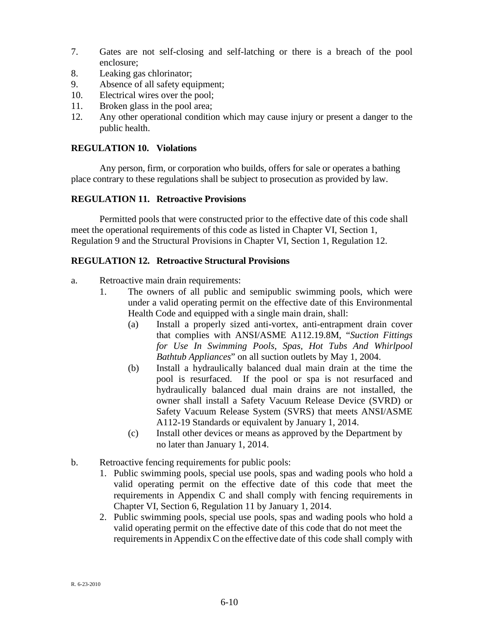- 7. Gates are not self-closing and self-latching or there is a breach of the pool enclosure;
- 8. Leaking gas chlorinator;
- 9. Absence of all safety equipment;
- 10. Electrical wires over the pool;
- 11. Broken glass in the pool area;
- 12. Any other operational condition which may cause injury or present a danger to the public health.

## **REGULATION 10. Violations**

Any person, firm, or corporation who builds, offers for sale or operates a bathing place contrary to these regulations shall be subject to prosecution as provided by law.

## **REGULATION 11. Retroactive Provisions**

Permitted pools that were constructed prior to the effective date of this code shall meet the operational requirements of this code as listed in Chapter VI, Section 1, Regulation 9 and the Structural Provisions in Chapter VI, Section 1, Regulation 12.

## **REGULATION 12. Retroactive Structural Provisions**

- a. Retroactive main drain requirements:
	- 1. The owners of all public and semipublic swimming pools, which were under a valid operating permit on the effective date of this Environmental Health Code and equipped with a single main drain, shall:
		- (a) Install a properly sized anti-vortex, anti-entrapment drain cover that complies with ANSI/ASME A112.19.8M, "*Suction Fittings for Use In Swimming Pools, Spas, Hot Tubs And Whirlpool Bathtub Appliances*" on all suction outlets by May 1, 2004.
		- (b) Install a hydraulically balanced dual main drain at the time the pool is resurfaced. If the pool or spa is not resurfaced and hydraulically balanced dual main drains are not installed, the owner shall install a Safety Vacuum Release Device (SVRD) or Safety Vacuum Release System (SVRS) that meets ANSI/ASME A112-19 Standards or equivalent by January 1, 2014.
		- (c) Install other devices or means as approved by the Department by no later than January 1, 2014.
- b. Retroactive fencing requirements for public pools:
	- 1. Public swimming pools, special use pools, spas and wading pools who hold a valid operating permit on the effective date of this code that meet the requirements in Appendix C and shall comply with fencing requirements in Chapter VI, Section 6, Regulation 11 by January 1, 2014.
	- 2. Public swimming pools, special use pools, spas and wading pools who hold a valid operating permit on the effective date of this code that do not meet the requirements in Appendix C on the effective date of this code shall comply with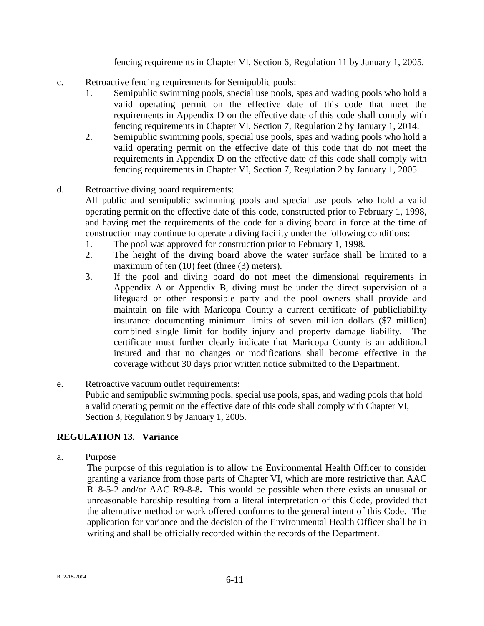fencing requirements in Chapter VI, Section 6, Regulation 11 by January 1, 2005.

- c. Retroactive fencing requirements for Semipublic pools:
	- 1. Semipublic swimming pools, special use pools, spas and wading pools who hold a valid operating permit on the effective date of this code that meet the requirements in Appendix D on the effective date of this code shall comply with fencing requirements in Chapter VI, Section 7, Regulation 2 by January 1, 2014.
	- 2. Semipublic swimming pools, special use pools, spas and wading pools who hold a valid operating permit on the effective date of this code that do not meet the requirements in Appendix D on the effective date of this code shall comply with fencing requirements in Chapter VI, Section 7, Regulation 2 by January 1, 2005.

## d. Retroactive diving board requirements:

All public and semipublic swimming pools and special use pools who hold a valid operating permit on the effective date of this code, constructed prior to February 1, 1998, and having met the requirements of the code for a diving board in force at the time of construction may continue to operate a diving facility under the following conditions:

- 1. The pool was approved for construction prior to February 1, 1998.
- 2. The height of the diving board above the water surface shall be limited to a maximum of ten (10) feet (three (3) meters).
- 3. If the pool and diving board do not meet the dimensional requirements in Appendix A or Appendix B, diving must be under the direct supervision of a lifeguard or other responsible party and the pool owners shall provide and maintain on file with Maricopa County a current certificate of publicliability insurance documenting minimum limits of seven million dollars (\$7 million) combined single limit for bodily injury and property damage liability. The certificate must further clearly indicate that Maricopa County is an additional insured and that no changes or modifications shall become effective in the coverage without 30 days prior written notice submitted to the Department.
- e. Retroactive vacuum outlet requirements: Public and semipublic swimming pools, special use pools, spas, and wading pools that hold a valid operating permit on the effective date of this code shall comply with Chapter VI, Section 3, Regulation 9 by January 1, 2005.

# **REGULATION 13. Variance**

a. Purpose

The purpose of this regulation is to allow the Environmental Health Officer to consider granting a variance from those parts of Chapter VI, which are more restrictive than AAC R18-5-2 and/or AAC R9-8-8**.** This would be possible when there exists an unusual or unreasonable hardship resulting from a literal interpretation of this Code, provided that the alternative method or work offered conforms to the general intent of this Code. The application for variance and the decision of the Environmental Health Officer shall be in writing and shall be officially recorded within the records of the Department.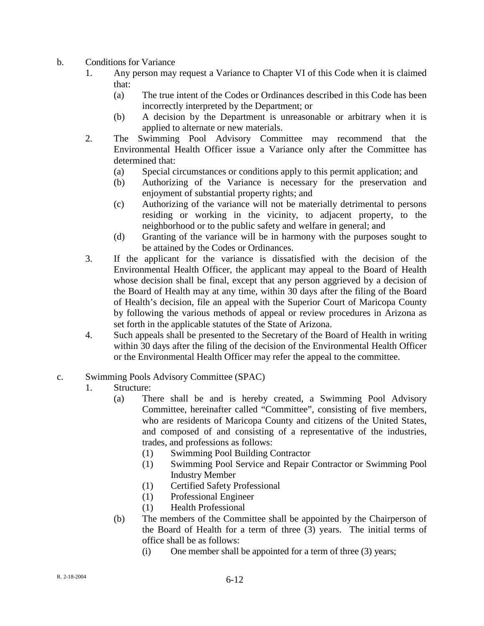- b. Conditions for Variance
	- 1. Any person may request a Variance to Chapter VI of this Code when it is claimed that:
		- (a) The true intent of the Codes or Ordinances described in this Code has been incorrectly interpreted by the Department; or
		- (b) A decision by the Department is unreasonable or arbitrary when it is applied to alternate or new materials.
	- 2. The Swimming Pool Advisory Committee may recommend that the Environmental Health Officer issue a Variance only after the Committee has determined that:
		- (a) Special circumstances or conditions apply to this permit application; and
		- (b) Authorizing of the Variance is necessary for the preservation and enjoyment of substantial property rights; and
		- (c) Authorizing of the variance will not be materially detrimental to persons residing or working in the vicinity, to adjacent property, to the neighborhood or to the public safety and welfare in general; and
		- (d) Granting of the variance will be in harmony with the purposes sought to be attained by the Codes or Ordinances.
	- 3. If the applicant for the variance is dissatisfied with the decision of the Environmental Health Officer, the applicant may appeal to the Board of Health whose decision shall be final, except that any person aggrieved by a decision of the Board of Health may at any time, within 30 days after the filing of the Board of Health's decision, file an appeal with the Superior Court of Maricopa County by following the various methods of appeal or review procedures in Arizona as set forth in the applicable statutes of the State of Arizona.
	- 4. Such appeals shall be presented to the Secretary of the Board of Health in writing within 30 days after the filing of the decision of the Environmental Health Officer or the Environmental Health Officer may refer the appeal to the committee.
- c. Swimming Pools Advisory Committee (SPAC)
	- 1. Structure:
		- (a) There shall be and is hereby created, a Swimming Pool Advisory Committee, hereinafter called "Committee", consisting of five members, who are residents of Maricopa County and citizens of the United States, and composed of and consisting of a representative of the industries, trades, and professions as follows:
			- (1) Swimming Pool Building Contractor
			- (1) Swimming Pool Service and Repair Contractor or Swimming Pool Industry Member
			- (1) Certified Safety Professional
			- (1) Professional Engineer
			- (1) Health Professional
		- (b) The members of the Committee shall be appointed by the Chairperson of the Board of Health for a term of three (3) years. The initial terms of office shall be as follows:
			- (i) One member shall be appointed for a term of three (3) years;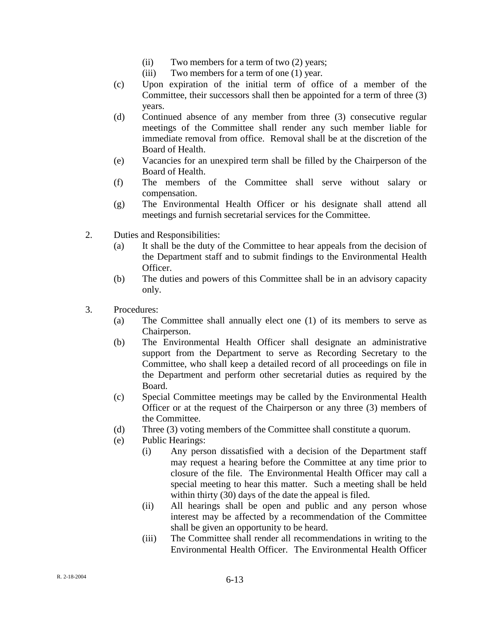- (ii) Two members for a term of two (2) years;
- (iii) Two members for a term of one (1) year.
- (c) Upon expiration of the initial term of office of a member of the Committee, their successors shall then be appointed for a term of three (3) years.
- (d) Continued absence of any member from three (3) consecutive regular meetings of the Committee shall render any such member liable for immediate removal from office. Removal shall be at the discretion of the Board of Health.
- (e) Vacancies for an unexpired term shall be filled by the Chairperson of the Board of Health.
- (f) The members of the Committee shall serve without salary or compensation.
- (g) The Environmental Health Officer or his designate shall attend all meetings and furnish secretarial services for the Committee.
- 2. Duties and Responsibilities:
	- (a) It shall be the duty of the Committee to hear appeals from the decision of the Department staff and to submit findings to the Environmental Health Officer.
	- (b) The duties and powers of this Committee shall be in an advisory capacity only.
- 3. Procedures:
	- (a) The Committee shall annually elect one (1) of its members to serve as Chairperson.
	- (b) The Environmental Health Officer shall designate an administrative support from the Department to serve as Recording Secretary to the Committee, who shall keep a detailed record of all proceedings on file in the Department and perform other secretarial duties as required by the Board.
	- (c) Special Committee meetings may be called by the Environmental Health Officer or at the request of the Chairperson or any three (3) members of the Committee.
	- (d) Three (3) voting members of the Committee shall constitute a quorum.
	- (e) Public Hearings:
		- (i) Any person dissatisfied with a decision of the Department staff may request a hearing before the Committee at any time prior to closure of the file. The Environmental Health Officer may call a special meeting to hear this matter. Such a meeting shall be held within thirty (30) days of the date the appeal is filed.
		- (ii) All hearings shall be open and public and any person whose interest may be affected by a recommendation of the Committee shall be given an opportunity to be heard.
		- (iii) The Committee shall render all recommendations in writing to the Environmental Health Officer. The Environmental Health Officer